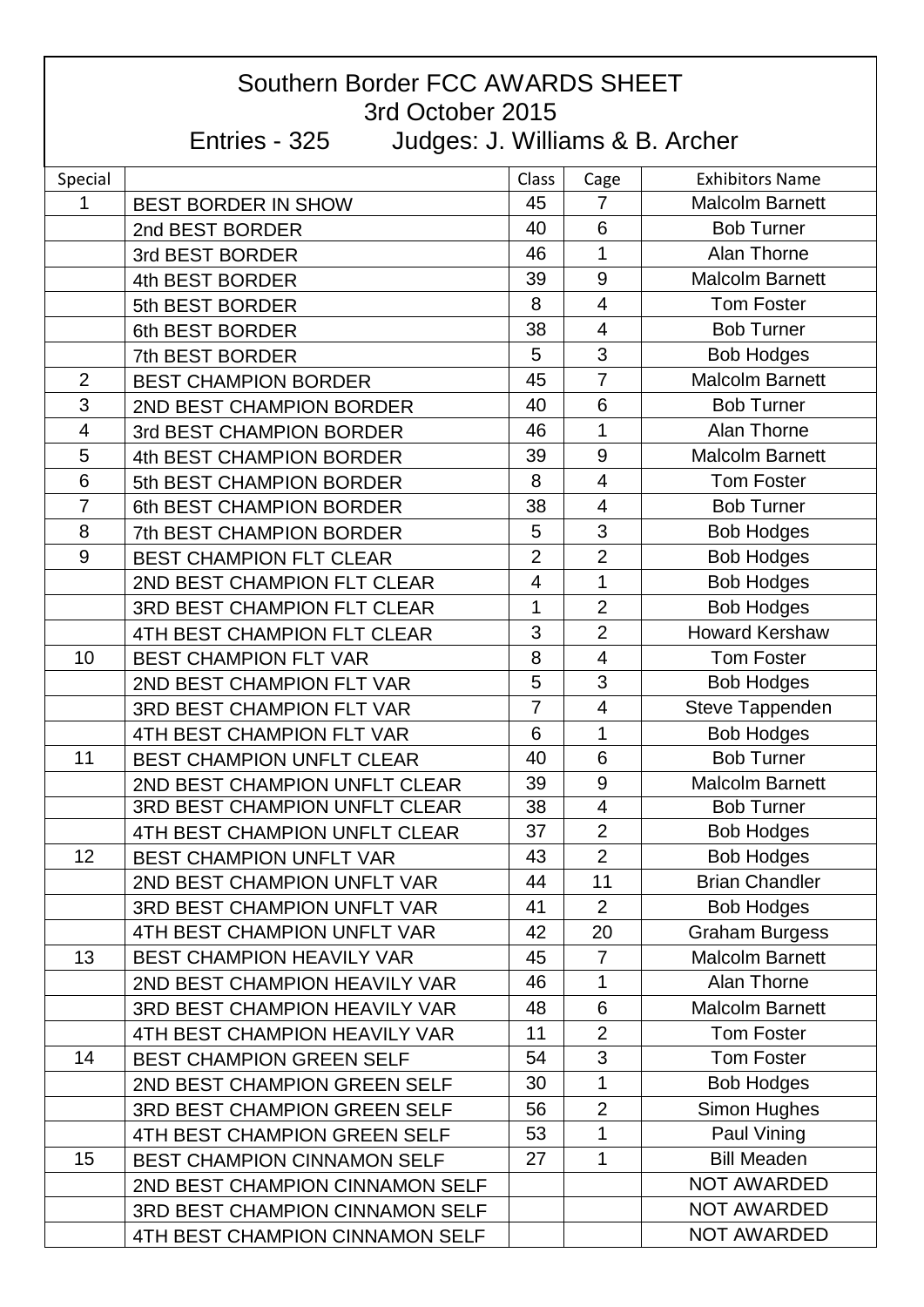| Southern Border FCC AWARDS SHEET<br>3rd October 2015 |                                                  |                |                          |                        |  |  |  |
|------------------------------------------------------|--------------------------------------------------|----------------|--------------------------|------------------------|--|--|--|
|                                                      | Entries - 325<br>Judges: J. Williams & B. Archer |                |                          |                        |  |  |  |
| Special                                              |                                                  | Class          | Cage                     | <b>Exhibitors Name</b> |  |  |  |
| 1                                                    | <b>BEST BORDER IN SHOW</b>                       | 45             | $\overline{7}$           | <b>Malcolm Barnett</b> |  |  |  |
|                                                      | 2nd BEST BORDER                                  | 40             | 6                        | <b>Bob Turner</b>      |  |  |  |
|                                                      | 3rd BEST BORDER                                  | 46             | 1                        | <b>Alan Thorne</b>     |  |  |  |
|                                                      | 4th BEST BORDER                                  | 39             | 9                        | <b>Malcolm Barnett</b> |  |  |  |
|                                                      | 5th BEST BORDER                                  | 8              | $\overline{4}$           | <b>Tom Foster</b>      |  |  |  |
|                                                      | 6th BEST BORDER                                  | 38             | $\overline{4}$           | <b>Bob Turner</b>      |  |  |  |
|                                                      | 7th BEST BORDER                                  | 5              | 3                        | <b>Bob Hodges</b>      |  |  |  |
| $\overline{2}$                                       | <b>BEST CHAMPION BORDER</b>                      | 45             | $\overline{7}$           | <b>Malcolm Barnett</b> |  |  |  |
| 3                                                    | 2ND BEST CHAMPION BORDER                         | 40             | 6                        | <b>Bob Turner</b>      |  |  |  |
| $\overline{4}$                                       | 3rd BEST CHAMPION BORDER                         | 46             | 1                        | Alan Thorne            |  |  |  |
| 5                                                    | 4th BEST CHAMPION BORDER                         | 39             | 9                        | <b>Malcolm Barnett</b> |  |  |  |
| 6                                                    | 5th BEST CHAMPION BORDER                         | 8              | $\overline{4}$           | <b>Tom Foster</b>      |  |  |  |
| $\overline{7}$                                       | 6th BEST CHAMPION BORDER                         | 38             | $\overline{4}$           | <b>Bob Turner</b>      |  |  |  |
| 8                                                    | 7th BEST CHAMPION BORDER                         | 5              | 3                        | <b>Bob Hodges</b>      |  |  |  |
| 9                                                    | <b>BEST CHAMPION FLT CLEAR</b>                   | $\overline{2}$ | $\overline{2}$           | <b>Bob Hodges</b>      |  |  |  |
|                                                      | 2ND BEST CHAMPION FLT CLEAR                      | 4              | 1                        | <b>Bob Hodges</b>      |  |  |  |
|                                                      | 3RD BEST CHAMPION FLT CLEAR                      | 1              | $\overline{2}$           | <b>Bob Hodges</b>      |  |  |  |
|                                                      | 4TH BEST CHAMPION FLT CLEAR                      | 3              | $\overline{2}$           | <b>Howard Kershaw</b>  |  |  |  |
| 10                                                   | <b>BEST CHAMPION FLT VAR</b>                     | 8              | $\overline{4}$           | <b>Tom Foster</b>      |  |  |  |
|                                                      | 2ND BEST CHAMPION FLT VAR                        | 5              | 3                        | <b>Bob Hodges</b>      |  |  |  |
|                                                      | <b>3RD BEST CHAMPION FLT VAR</b>                 | $\overline{7}$ | $\overline{\mathcal{A}}$ | Steve Tappenden        |  |  |  |
|                                                      | 4TH BEST CHAMPION FLT VAR                        | 6              | 1                        | <b>Bob Hodges</b>      |  |  |  |
| 11                                                   | <b>BEST CHAMPION UNFLT CLEAR</b>                 | 40             | 6                        | <b>Bob Turner</b>      |  |  |  |
|                                                      | 2ND BEST CHAMPION UNFLT CLEAR                    | 39             | 9                        | <b>Malcolm Barnett</b> |  |  |  |
|                                                      | 3RD BEST CHAMPION UNFLT CLEAR                    | 38             | $\overline{\mathbf{4}}$  | <b>Bob Turner</b>      |  |  |  |
|                                                      | 4TH BEST CHAMPION UNFLT CLEAR                    | 37             | $\overline{2}$           | <b>Bob Hodges</b>      |  |  |  |
| 12                                                   | <b>BEST CHAMPION UNFLT VAR</b>                   | 43             | $\overline{2}$           | <b>Bob Hodges</b>      |  |  |  |
|                                                      | 2ND BEST CHAMPION UNFLT VAR                      | 44             | 11                       | <b>Brian Chandler</b>  |  |  |  |
|                                                      | <b>3RD BEST CHAMPION UNFLT VAR</b>               | 41             | $\overline{2}$           | <b>Bob Hodges</b>      |  |  |  |
|                                                      | 4TH BEST CHAMPION UNFLT VAR                      | 42             | 20                       | <b>Graham Burgess</b>  |  |  |  |
| 13                                                   | <b>BEST CHAMPION HEAVILY VAR</b>                 | 45             | $\overline{7}$           | <b>Malcolm Barnett</b> |  |  |  |
|                                                      | 2ND BEST CHAMPION HEAVILY VAR                    | 46             | 1                        | Alan Thorne            |  |  |  |
|                                                      | <b>3RD BEST CHAMPION HEAVILY VAR</b>             | 48             | 6                        | <b>Malcolm Barnett</b> |  |  |  |
|                                                      | 4TH BEST CHAMPION HEAVILY VAR                    | 11             | $\overline{2}$           | <b>Tom Foster</b>      |  |  |  |
| 14                                                   | <b>BEST CHAMPION GREEN SELF</b>                  | 54             | 3                        | <b>Tom Foster</b>      |  |  |  |
|                                                      | 2ND BEST CHAMPION GREEN SELF                     | 30             | 1                        | <b>Bob Hodges</b>      |  |  |  |
|                                                      | 3RD BEST CHAMPION GREEN SELF                     | 56             | $\overline{2}$           | Simon Hughes           |  |  |  |
|                                                      | 4TH BEST CHAMPION GREEN SELF                     | 53             | 1                        | Paul Vining            |  |  |  |
| 15                                                   | <b>BEST CHAMPION CINNAMON SELF</b>               | 27             | 1                        | <b>Bill Meaden</b>     |  |  |  |
|                                                      | 2ND BEST CHAMPION CINNAMON SELF                  |                |                          | <b>NOT AWARDED</b>     |  |  |  |
|                                                      | 3RD BEST CHAMPION CINNAMON SELF                  |                |                          | NOT AWARDED            |  |  |  |
|                                                      | 4TH BEST CHAMPION CINNAMON SELF                  |                |                          | <b>NOT AWARDED</b>     |  |  |  |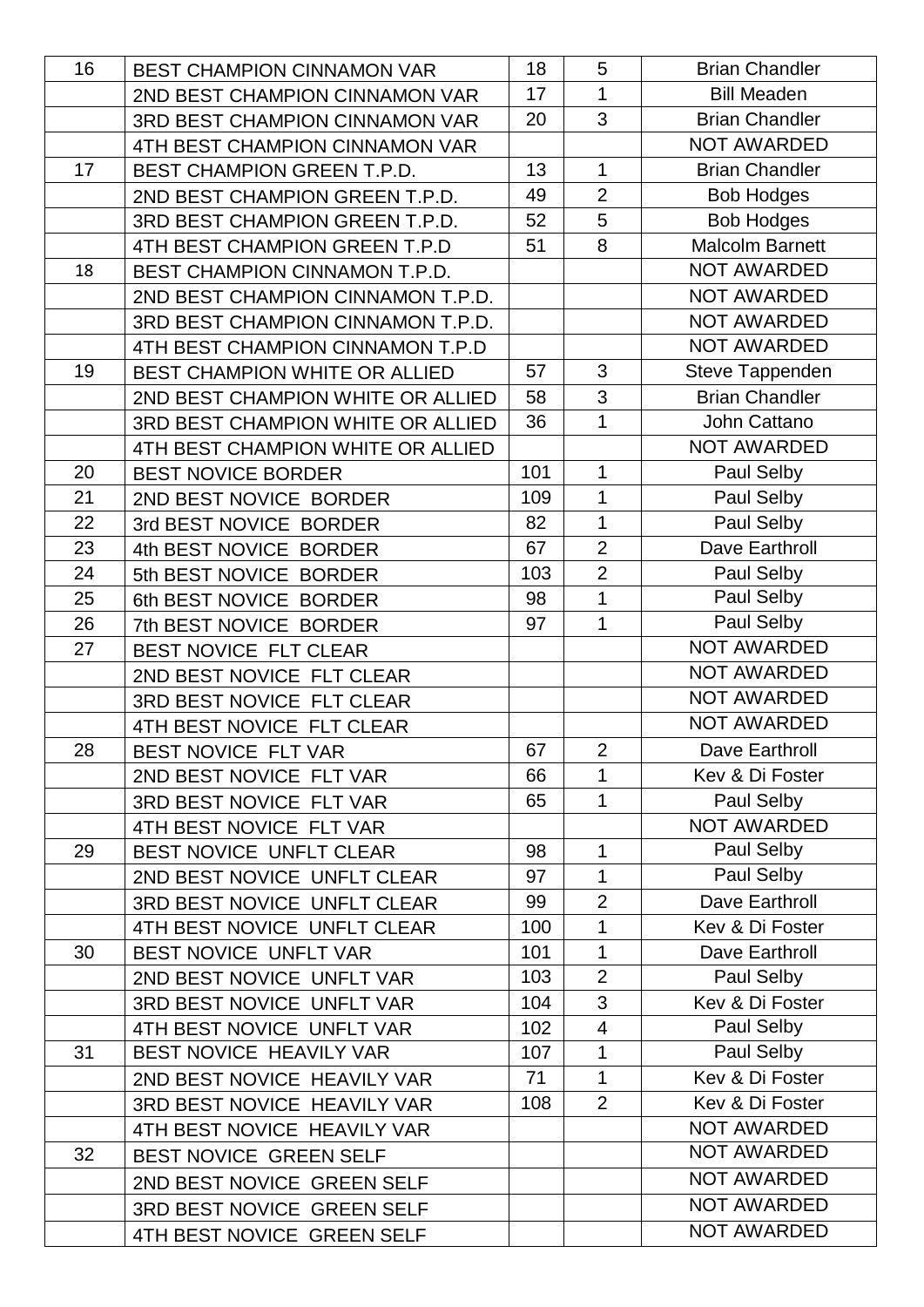| 16 | BEST CHAMPION CINNAMON VAR        | 18  | 5                       | <b>Brian Chandler</b>  |
|----|-----------------------------------|-----|-------------------------|------------------------|
|    | 2ND BEST CHAMPION CINNAMON VAR    | 17  | $\mathbf{1}$            | <b>Bill Meaden</b>     |
|    | 3RD BEST CHAMPION CINNAMON VAR    | 20  | 3                       | <b>Brian Chandler</b>  |
|    | 4TH BEST CHAMPION CINNAMON VAR    |     |                         | <b>NOT AWARDED</b>     |
| 17 | <b>BEST CHAMPION GREEN T.P.D.</b> | 13  | 1                       | <b>Brian Chandler</b>  |
|    | 2ND BEST CHAMPION GREEN T.P.D.    | 49  | $\overline{2}$          | <b>Bob Hodges</b>      |
|    | 3RD BEST CHAMPION GREEN T.P.D.    | 52  | 5                       | <b>Bob Hodges</b>      |
|    | 4TH BEST CHAMPION GREEN T.P.D     | 51  | 8                       | <b>Malcolm Barnett</b> |
| 18 | BEST CHAMPION CINNAMON T.P.D.     |     |                         | <b>NOT AWARDED</b>     |
|    | 2ND BEST CHAMPION CINNAMON T.P.D. |     |                         | <b>NOT AWARDED</b>     |
|    | 3RD BEST CHAMPION CINNAMON T.P.D. |     |                         | <b>NOT AWARDED</b>     |
|    | 4TH BEST CHAMPION CINNAMON T.P.D  |     |                         | <b>NOT AWARDED</b>     |
| 19 | BEST CHAMPION WHITE OR ALLIED     | 57  | 3                       | Steve Tappenden        |
|    | 2ND BEST CHAMPION WHITE OR ALLIED | 58  | 3                       | <b>Brian Chandler</b>  |
|    | 3RD BEST CHAMPION WHITE OR ALLIED | 36  | 1                       | John Cattano           |
|    | 4TH BEST CHAMPION WHITE OR ALLIED |     |                         | NOT AWARDED            |
| 20 | <b>BEST NOVICE BORDER</b>         | 101 | 1                       | Paul Selby             |
| 21 | 2ND BEST NOVICE BORDER            | 109 | 1                       | Paul Selby             |
| 22 | 3rd BEST NOVICE BORDER            | 82  | $\overline{1}$          | Paul Selby             |
| 23 | 4th BEST NOVICE BORDER            | 67  | $\overline{2}$          | Dave Earthroll         |
| 24 | 5th BEST NOVICE BORDER            | 103 | $\overline{2}$          | Paul Selby             |
| 25 | 6th BEST NOVICE BORDER            | 98  | 1                       | Paul Selby             |
| 26 | 7th BEST NOVICE BORDER            | 97  | 1                       | Paul Selby             |
| 27 | BEST NOVICE FLT CLEAR             |     |                         | <b>NOT AWARDED</b>     |
|    | 2ND BEST NOVICE FLT CLEAR         |     |                         | <b>NOT AWARDED</b>     |
|    | 3RD BEST NOVICE FLT CLEAR         |     |                         | <b>NOT AWARDED</b>     |
|    | 4TH BEST NOVICE FLT CLEAR         |     |                         | <b>NOT AWARDED</b>     |
| 28 | BEST NOVICE FLT VAR               | 67  | $\overline{2}$          | Dave Earthroll         |
|    | 2ND BEST NOVICE FLT VAR           | 66  | 1                       | Kev & Di Foster        |
|    | 3RD BEST NOVICE FLT VAR           | 65  | 1                       | Paul Selby             |
|    | 4TH BEST NOVICE FLT VAR           |     |                         | NOT AWARDED            |
| 29 | BEST NOVICE UNFLT CLEAR           | 98  | 1                       | Paul Selby             |
|    | 2ND BEST NOVICE UNFLT CLEAR       | 97  | 1                       | Paul Selby             |
|    | 3RD BEST NOVICE UNFLT CLEAR       | 99  | $\overline{2}$          | Dave Earthroll         |
|    | 4TH BEST NOVICE UNFLT CLEAR       | 100 | 1                       | Kev & Di Foster        |
| 30 | BEST NOVICE UNFLT VAR             | 101 | $\mathbf 1$             | Dave Earthroll         |
|    | 2ND BEST NOVICE UNFLT VAR         | 103 | $\overline{2}$          | Paul Selby             |
|    | 3RD BEST NOVICE UNFLT VAR         | 104 | 3                       | Kev & Di Foster        |
|    | 4TH BEST NOVICE UNFLT VAR         | 102 | $\overline{\mathbf{4}}$ | Paul Selby             |
| 31 | BEST NOVICE HEAVILY VAR           | 107 | 1                       | Paul Selby             |
|    | 2ND BEST NOVICE HEAVILY VAR       | 71  | $\mathbf 1$             | Kev & Di Foster        |
|    | 3RD BEST NOVICE HEAVILY VAR       | 108 | $\overline{2}$          | Kev & Di Foster        |
|    | 4TH BEST NOVICE HEAVILY VAR       |     |                         | NOT AWARDED            |
| 32 | BEST NOVICE GREEN SELF            |     |                         | NOT AWARDED            |
|    | 2ND BEST NOVICE GREEN SELF        |     |                         | NOT AWARDED            |
|    | 3RD BEST NOVICE GREEN SELF        |     |                         | <b>NOT AWARDED</b>     |
|    | 4TH BEST NOVICE GREEN SELF        |     |                         | NOT AWARDED            |